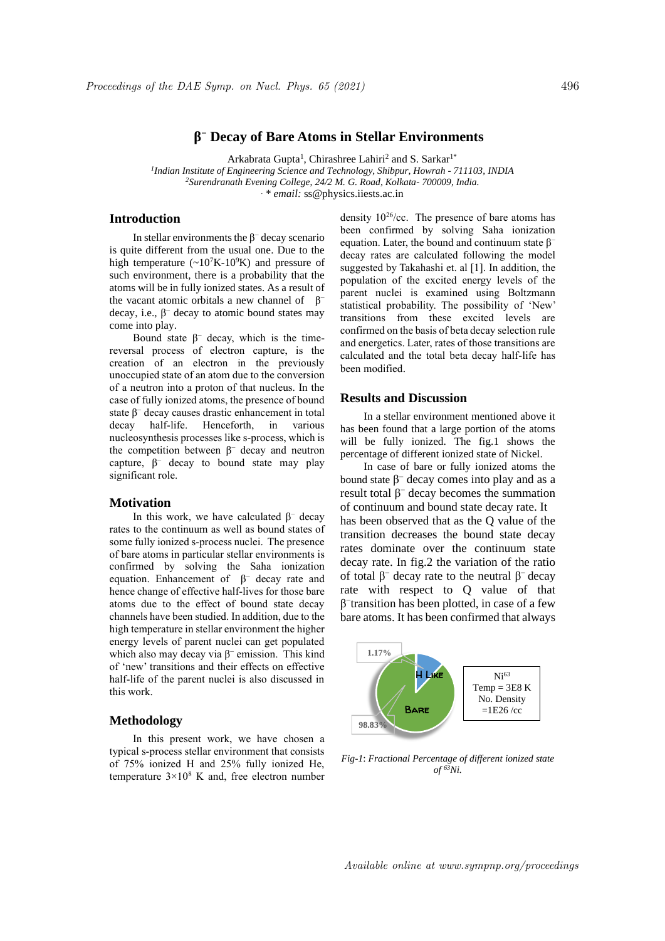# **β <sup>−</sup> Decay of Bare Atoms in Stellar Environments**

Arkabrata Gupta<sup>1</sup>, Chirashree Lahiri<sup>2</sup> and S. Sarkar<sup>1\*</sup>

*1 Indian Institute of Engineering Science and Technology, Shibpur, Howrah - 711103, INDIA <sup>2</sup>Surendranath Evening College, 24/2 M. G. Road, Kolkata- 700009, India. . \* email:* ss@physics.iiests.ac.in

## **Introduction**

In stellar environments the  $\beta^-$  decay scenario is quite different from the usual one. Due to the high temperature  $({\sim}10^7K-10^9K)$  and pressure of such environment, there is a probability that the atoms will be in fully ionized states. As a result of the vacant atomic orbitals a new channel of  $β$ decay, i.e.,  $\beta^-$  decay to atomic bound states may come into play.

Bound state  $\beta^-$  decay, which is the timereversal process of electron capture, is the creation of an electron in the previously unoccupied state of an atom due to the conversion of a neutron into a proton of that nucleus. In the case of fully ionized atoms, the presence of bound state  $\beta^-$  decay causes drastic enhancement in total decay half-life. Henceforth, in various nucleosynthesis processes like s-process, which is the competition between  $\beta^-$  decay and neutron capture,  $\beta^-$  decay to bound state may play significant role.

### **Motivation**

In this work, we have calculated  $\beta^-$  decay rates to the continuum as well as bound states of some fully ionized s-process nuclei. The presence of bare atoms in particular stellar environments is confirmed by solving the Saha ionization equation. Enhancement of  $\beta^-$  decay rate and hence change of effective half-lives for those bare atoms due to the effect of bound state decay channels have been studied. In addition, due to the high temperature in stellar environment the higher energy levels of parent nuclei can get populated which also may decay via  $\beta^-$  emission. This kind of 'new' transitions and their effects on effective half-life of the parent nuclei is also discussed in this work.

#### **Methodology**

In this present work, we have chosen a typical s-process stellar environment that consists of 75% ionized H and 25% fully ionized He, temperature  $3 \times 10^8$  K and, free electron number density 10<sup>26</sup>/cc. The presence of bare atoms has been confirmed by solving Saha ionization equation. Later, the bound and continuum state  $\beta^$ decay rates are calculated following the model suggested by Takahashi et. al [1]. In addition, the population of the excited energy levels of the parent nuclei is examined using Boltzmann statistical probability. The possibility of 'New' transitions from these excited levels are confirmed on the basis of beta decay selection rule and energetics. Later, rates of those transitions are calculated and the total beta decay half-life has been modified.

## **Results and Discussion**

In a stellar environment mentioned above it has been found that a large portion of the atoms will be fully ionized. The fig.1 shows the percentage of different ionized state of Nickel.

In case of bare or fully ionized atoms the bound state  $β$ <sup>-</sup> decay comes into play and as a result total  $β<sup>-</sup>$  decay becomes the summation of continuum and bound state decay rate. It has been observed that as the Q value of the transition decreases the bound state decay rates dominate over the continuum state decay rate. In fig.2 the variation of the ratio of total  $β$ <sup>-</sup> decay rate to the neutral  $β$ <sup>-</sup> decay rate with respect to Q value of that β − transition has been plotted, in case of a few bare atoms. It has been confirmed that always



*Fig-1*: *Fractional Percentage of different ionized state*   $of$ <sup> $63$ </sup>Ni.